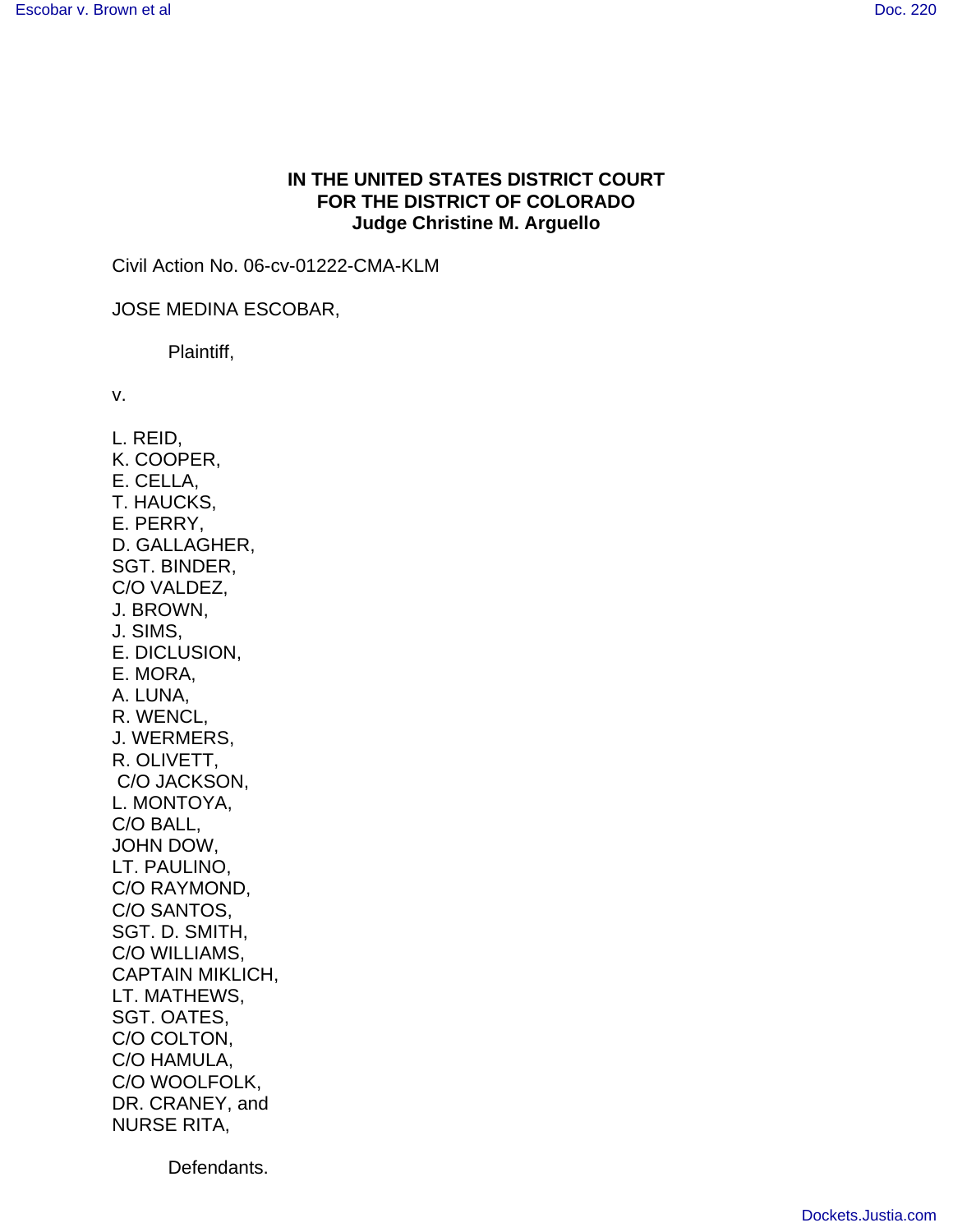## **IN THE UNITED STATES DISTRICT COURT FOR THE DISTRICT OF COLORADO Judge Christine M. Arguello**

Civil Action No. 06-cv-01222-CMA-KLM

JOSE MEDINA ESCOBAR,

Plaintiff,

v.

L. REID, K. COOPER, E. CELLA, T. HAUCKS, E. PERRY, D. GALLAGHER, SGT. BINDER, C/O VALDEZ, J. BROWN, J. SIMS, E. DICLUSION, E. MORA, A. LUNA, R. WENCL, J. WERMERS, R. OLIVETT, C/O JACKSON, L. MONTOYA, C/O BALL, JOHN DOW, LT. PAULINO, C/O RAYMOND, C/O SANTOS, SGT. D. SMITH, C/O WILLIAMS, CAPTAIN MIKLICH, LT. MATHEWS, SGT. OATES, C/O COLTON, C/O HAMULA, C/O WOOLFOLK, DR. CRANEY, and NURSE RITA,

Defendants.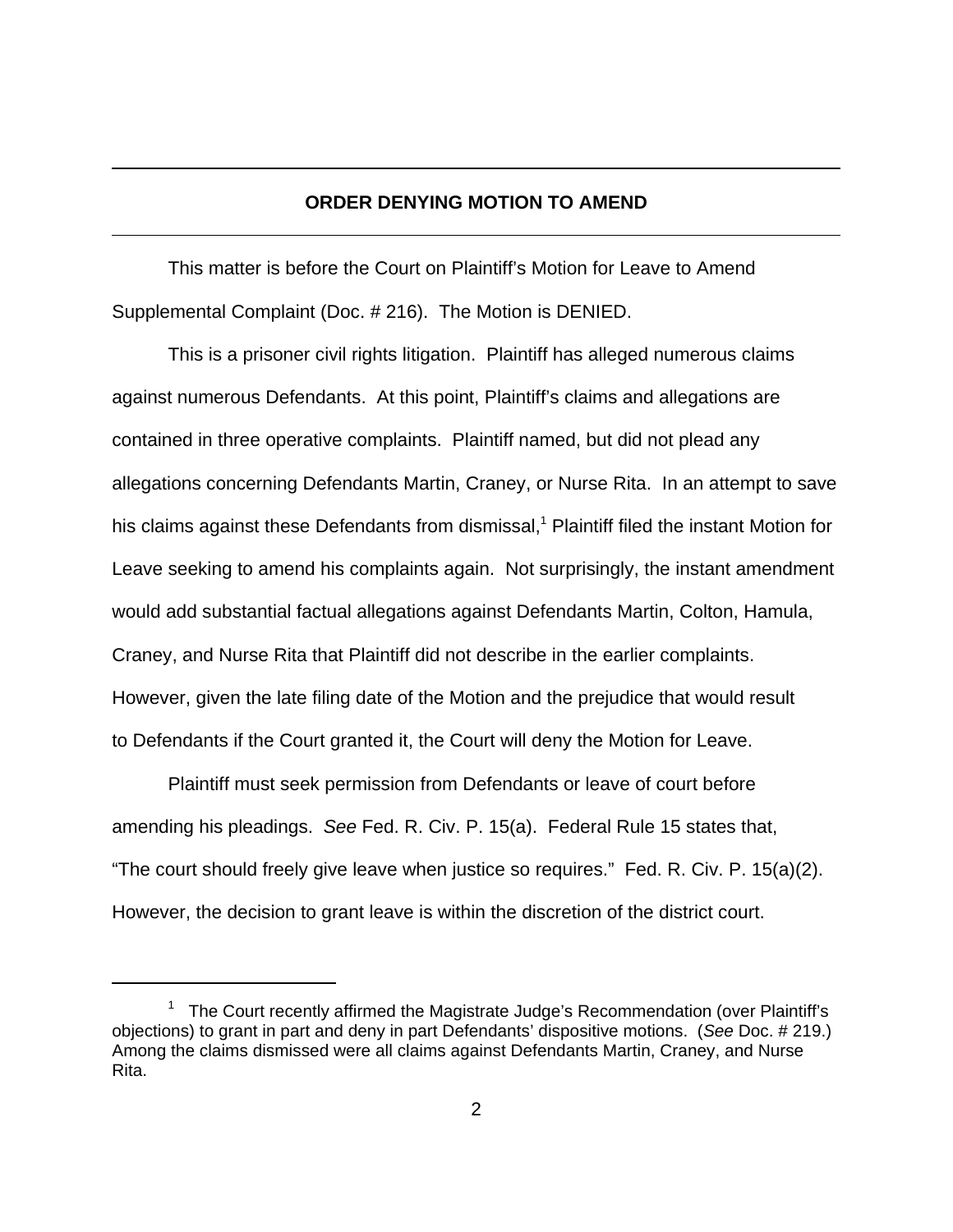## **ORDER DENYING MOTION TO AMEND**

This matter is before the Court on Plaintiff's Motion for Leave to Amend Supplemental Complaint (Doc. # 216). The Motion is DENIED.

This is a prisoner civil rights litigation. Plaintiff has alleged numerous claims against numerous Defendants. At this point, Plaintiff's claims and allegations are contained in three operative complaints. Plaintiff named, but did not plead any allegations concerning Defendants Martin, Craney, or Nurse Rita. In an attempt to save his claims against these Defendants from dismissal,<sup>1</sup> Plaintiff filed the instant Motion for Leave seeking to amend his complaints again. Not surprisingly, the instant amendment would add substantial factual allegations against Defendants Martin, Colton, Hamula, Craney, and Nurse Rita that Plaintiff did not describe in the earlier complaints. However, given the late filing date of the Motion and the prejudice that would result to Defendants if the Court granted it, the Court will deny the Motion for Leave.

Plaintiff must seek permission from Defendants or leave of court before amending his pleadings. *See* Fed. R. Civ. P. 15(a). Federal Rule 15 states that, "The court should freely give leave when justice so requires." Fed. R. Civ. P. 15(a)(2). However, the decision to grant leave is within the discretion of the district court.

<sup>&</sup>lt;sup>1</sup> The Court recently affirmed the Magistrate Judge's Recommendation (over Plaintiff's objections) to grant in part and deny in part Defendants' dispositive motions. (*See* Doc. # 219.) Among the claims dismissed were all claims against Defendants Martin, Craney, and Nurse Rita.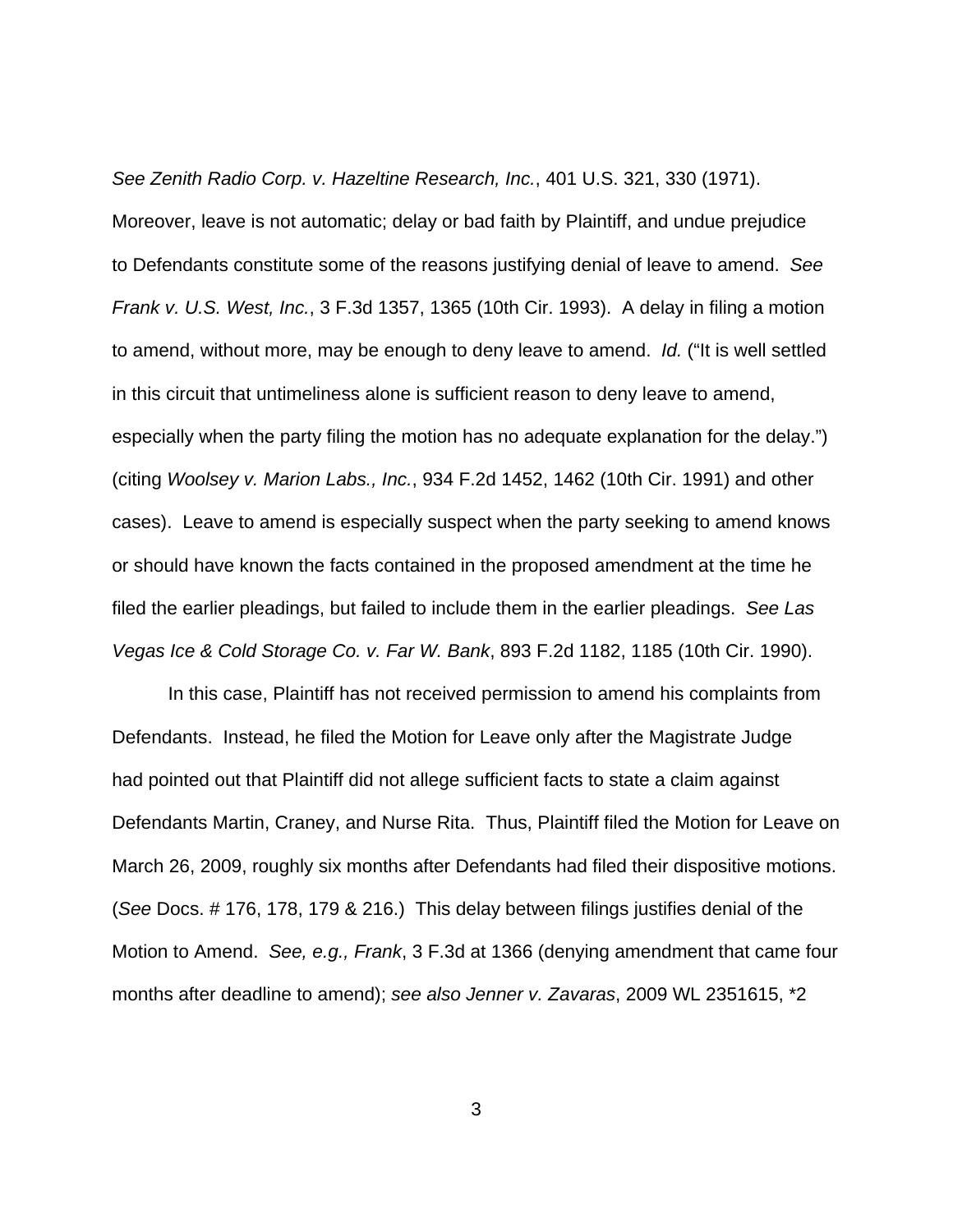*See Zenith Radio Corp. v. Hazeltine Research, Inc.*, 401 U.S. 321, 330 (1971).

Moreover, leave is not automatic; delay or bad faith by Plaintiff, and undue prejudice to Defendants constitute some of the reasons justifying denial of leave to amend. *See Frank v. U.S. West, Inc.*, 3 F.3d 1357, 1365 (10th Cir. 1993). A delay in filing a motion to amend, without more, may be enough to deny leave to amend. *Id.* ("It is well settled in this circuit that untimeliness alone is sufficient reason to deny leave to amend, especially when the party filing the motion has no adequate explanation for the delay.") (citing *Woolsey v. Marion Labs., Inc.*, 934 F.2d 1452, 1462 (10th Cir. 1991) and other cases). Leave to amend is especially suspect when the party seeking to amend knows or should have known the facts contained in the proposed amendment at the time he filed the earlier pleadings, but failed to include them in the earlier pleadings. *See Las Vegas Ice & Cold Storage Co. v. Far W. Bank*, 893 F.2d 1182, 1185 (10th Cir. 1990).

In this case, Plaintiff has not received permission to amend his complaints from Defendants. Instead, he filed the Motion for Leave only after the Magistrate Judge had pointed out that Plaintiff did not allege sufficient facts to state a claim against Defendants Martin, Craney, and Nurse Rita. Thus, Plaintiff filed the Motion for Leave on March 26, 2009, roughly six months after Defendants had filed their dispositive motions. (*See* Docs. # 176, 178, 179 & 216.) This delay between filings justifies denial of the Motion to Amend. *See, e.g., Frank*, 3 F.3d at 1366 (denying amendment that came four months after deadline to amend); *see also Jenner v. Zavaras*, 2009 WL 2351615, \*2

3